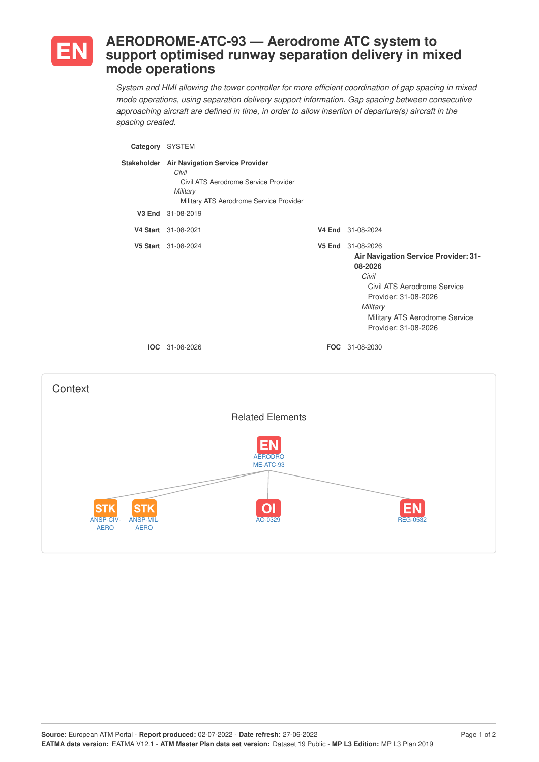

## **AERODROME-ATC-93 — Aerodrome ATC system to support optimised runway separation delivery in mixed mode operations**

*System and HMI allowing the tower controller for more efficient coordination of gap spacing in mixed mode operations, using separation delivery support information. Gap spacing between consecutive approaching aircraft are defined in time, in order to allow insertion of departure(s) aircraft in the spacing created.*